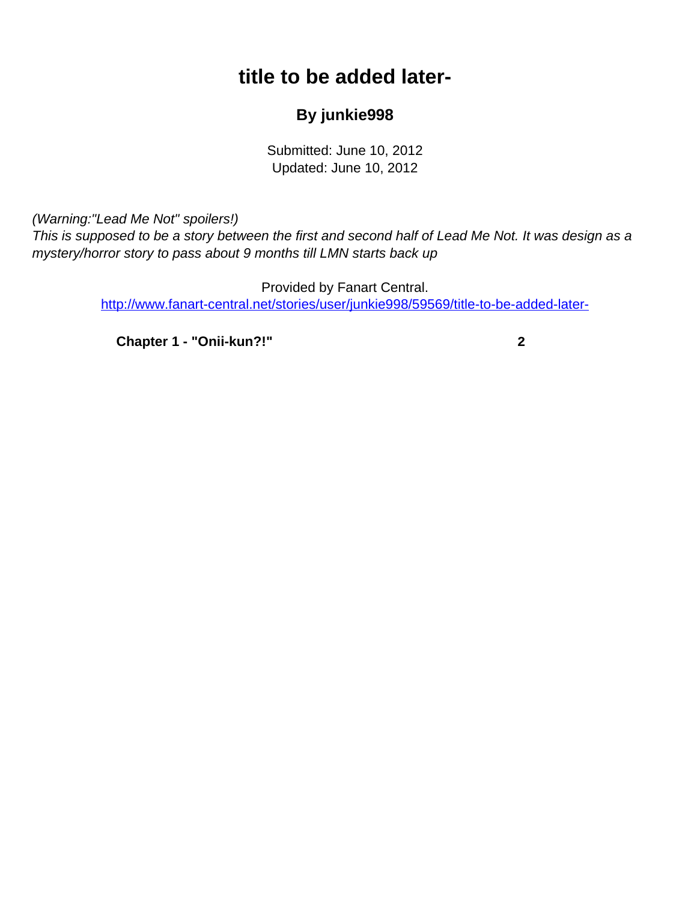## **title to be added later-**

## **By junkie998**

Submitted: June 10, 2012 Updated: June 10, 2012

<span id="page-0-0"></span>(Warning:"Lead Me Not" spoilers!)

This is supposed to be a story between the first and second half of Lead Me Not. It was design as a mystery/horror story to pass about 9 months till LMN starts back up

> Provided by Fanart Central. [http://www.fanart-central.net/stories/user/junkie998/59569/title-to-be-added-later-](#page-0-0)

**[Chapter 1 - "Onii-kun?!"](#page-1-0) [2](#page-1-0)**